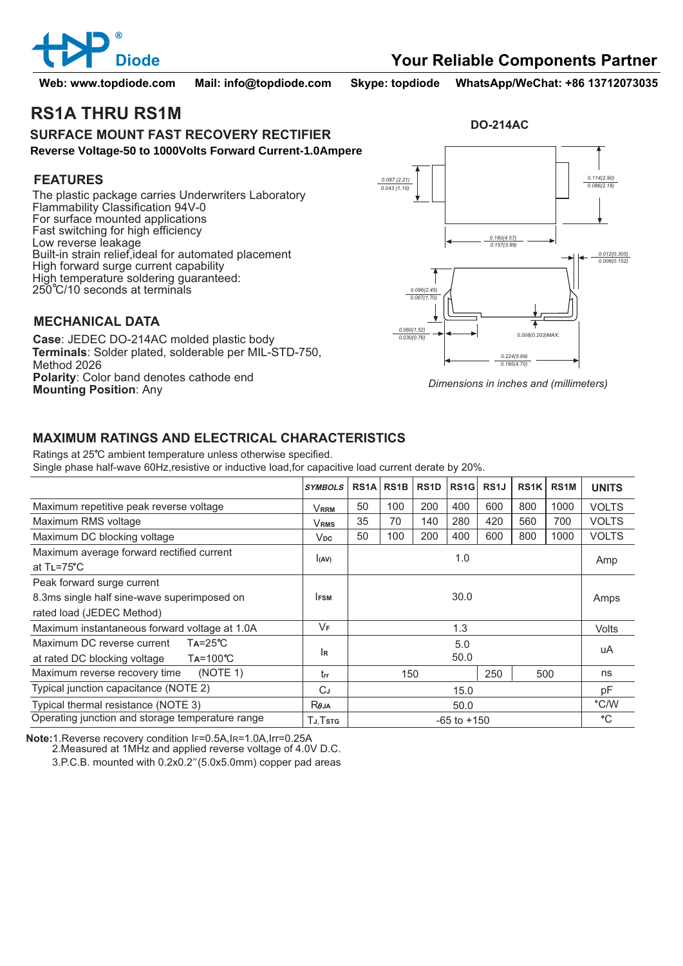

**Web: www.topdiode.com Mail: info@topdiode.com Skype: topdiode WhatsApp/WeChat: +86 13712073035**

**DO-214AC**

## **RS1A THRU RS1M**

#### **SURFACE MOUNT FAST RECOVERY RECTIFIER Reverse Voltage-50 to 1000Volts Forward Current-1.0Ampere**

#### **FEATURES**

The plastic package carries Underwriters Laboratory Flammability Classification 94V-0 For surface mounted applications Fast switching for high efficiency Low reverse leakage Built-in strain relief,ideal for automated placement High forward surge current capability High temperature soldering guaranteed: 250 C/10 seconds at terminals

### **MECHANICAL DATA**

**Case**: JEDEC DO-214AC molded plastic body **Terminals**: Solder plated, solderable per MIL-STD-750, Method 2026 **Polarity**: Color band denotes cathode end **Mounting Position**: Any



*Dimensions in inches and (millimeters)*

## **MAXIMUM RATINGS AND ELECTRICAL CHARACTERISTICS**

Ratings at 25°C ambient temperature unless otherwise specified. Single phase half-wave 60Hz,resistive or inductive load,for capacitive load current derate by 20%.

|                                                                    | <b>SYMBOLS</b>      | RS <sub>1</sub> A | RS <sub>1</sub> B | RS <sub>1</sub> D | RS1G | RS <sub>1</sub> J | RS <sub>1</sub> K | RS <sub>1</sub> M | <b>UNITS</b> |
|--------------------------------------------------------------------|---------------------|-------------------|-------------------|-------------------|------|-------------------|-------------------|-------------------|--------------|
| Maximum repetitive peak reverse voltage                            | Vrrm                | 50                | 100               | 200               | 400  | 600               | 800               | 1000              | <b>VOLTS</b> |
| Maximum RMS voltage                                                | <b>VRMS</b>         | 35                | 70                | 140               | 280  | 420               | 560               | 700               | <b>VOLTS</b> |
| Maximum DC blocking voltage                                        | V <sub>DC</sub>     | 50                | 100               | 200               | 400  | 600               | 800               | 1000              | <b>VOLTS</b> |
| Maximum average forward rectified current<br>at $TL = 75^{\circ}C$ | I(AV)               |                   |                   |                   | 1.0  |                   |                   |                   | Amp          |
| Peak forward surge current                                         |                     |                   |                   |                   |      |                   |                   |                   |              |
| 8.3ms single half sine-wave superimposed on                        | 30.0<br><b>IFSM</b> |                   |                   |                   |      |                   |                   | Amps              |              |
| rated load (JEDEC Method)                                          |                     |                   |                   |                   |      |                   |                   |                   |              |
| Maximum instantaneous forward voltage at 1.0A                      | VF                  | 1.3               |                   |                   |      |                   |                   |                   | <b>Volts</b> |
| Maximum DC reverse current<br>$Ta = 25^{\circ}C$                   |                     | 5.0<br>50.0       |                   |                   |      |                   |                   |                   | uA           |
| $Ta = 100^{\circ}C$<br>at rated DC blocking voltage                | İR                  |                   |                   |                   |      |                   |                   |                   |              |
| (NOTE 1)<br>Maximum reverse recovery time                          | trr                 |                   | 150               |                   |      | 250               | 500               |                   | ns           |
| Typical junction capacitance (NOTE 2)                              | СJ                  | 15.0              |                   |                   |      |                   |                   | pF                |              |
| Typical thermal resistance (NOTE 3)                                | $R\theta$ JA        | 50.0              |                   |                   |      |                   |                   | $\degree$ C/W     |              |
| Operating junction and storage temperature range                   | Тл.Тѕтс             | $-65$ to $+150$   |                   |                   |      |                   |                   |                   | $^{\circ}C$  |

**Note:**1.Reverse recovery condition IF=0.5A,IR=1.0A,Irr=0.25A

2.Measured at 1MHz and applied reverse voltage of 4.0V D.C.

3.P.C.B. mounted with 0.2x0.2"(5.0x5.0mm) copper pad areas